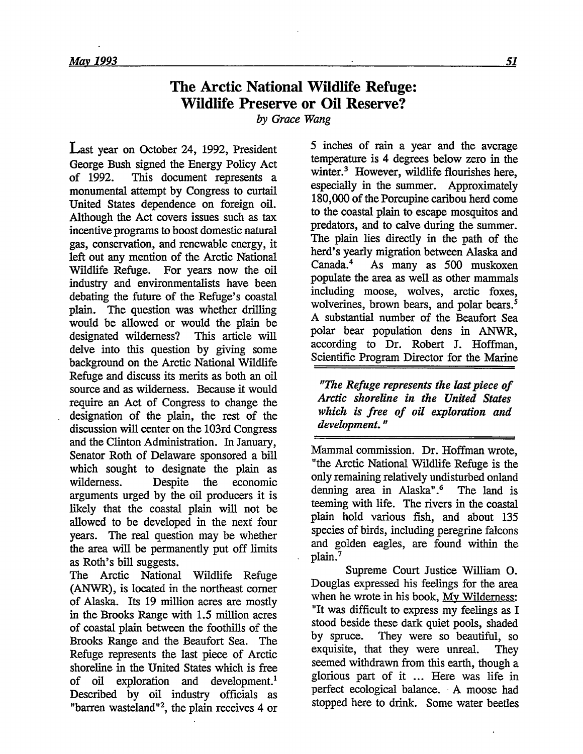## **The Arctic National Wildlife Refuge: Wildlife Preserve or Oil Reserve?**

*by Grace Wang*

Last year on October 24, **1992,** President George Bush signed the Energy Policy Act of 1992. This document represents a monumental attempt by Congress to curtail United States dependence on foreign oil. Although the Act covers issues such as tax incentive programs to boost domestic natural gas, conservation, and renewable energy, it left out any mention of the Arctic National Wildlife Refuge. For years now the oil industry and environmentalists have been debating the future of the Refuge's coastal plain. The question was whether drilling would be allowed or would the plain be designated wilderness? This article will delve into this question by giving some background on the Arctic National Wildlife Refuge and discuss its merits as both an oil source and as wilderness. Because it would require an Act of Congress to change the designation of the plain, the rest of the discussion will center on the 103rd Congress and the Clinton Administration. In January, Senator Roth of Delaware sponsored a bill which sought to designate the plain as wilderness. Despite the economic arguments urged by the oil producers it is likely that the coastal plain will not be allowed to be developed in the next four years. The real question may be whether the area will be permanently put off limits as Roth's bill suggests.

The Arctic National Wildlife Refuge (ANWR), is located in the northeast corner of Alaska. Its 19 million acres are mostly in the Brooks Range with **1.5** million acres of coastal plain between the foothills of the Brooks Range and the Beaufort Sea. The Refuge represents the last piece of Arctic shoreline in the United States which is free of oil exploration and development.' Described by oil industry officials as "barren wasteland"2, the plain receives 4 or

**5** inches of rain a year and the average temperature is 4 degrees below zero in the winter.<sup>3</sup> However, wildlife flourishes here, especially in the summer. Approximately 180,000 of the Porcupine caribou herd come to the coastal plain to escape mosquitos and predators, and to calve during the summer. The plain lies directly in the path of the herd's yearly migration between Alaska and<br>Canada.<sup>4</sup> As many as 500 muskoxen As many as 500 muskoxen populate the area as well as other mammals including moose, wolves, arctic foxes, wolverines, brown bears, and polar bears.<sup>5</sup> A substantial number of the Beaufort Sea polar bear population dens in ANWR, according to Dr. Robert J. Hoffman, Scientific Program Director for the Marine

*"The Refuge represents the last piece of Arctic shoreline in the United States which is free of oil exploration and development."*

Mammal commission. Dr. Hoffman wrote, "the Arctic National Wildlife Refuge is the only remaining relatively undisturbed onland denning area in Alaska".6 The land is teeming with life. The rivers in the coastal plain hold various fish, and about **135** species of birds, including peregrine falcons and golden eagles, are found within the plain.<sup>7</sup>

Supreme Court Justice William **0.** Douglas expressed his feelings for the area when he wrote in his book, My Wilderness: "It was difficult to express my feelings as I stood beside these dark quiet pools, shaded by spruce. They were so beautiful, so exquisite, that they were unreal. They seemed withdrawn from this earth, though a glorious part of it ... Here was life in perfect ecological balance. A moose had stopped here to drink. Some water beetles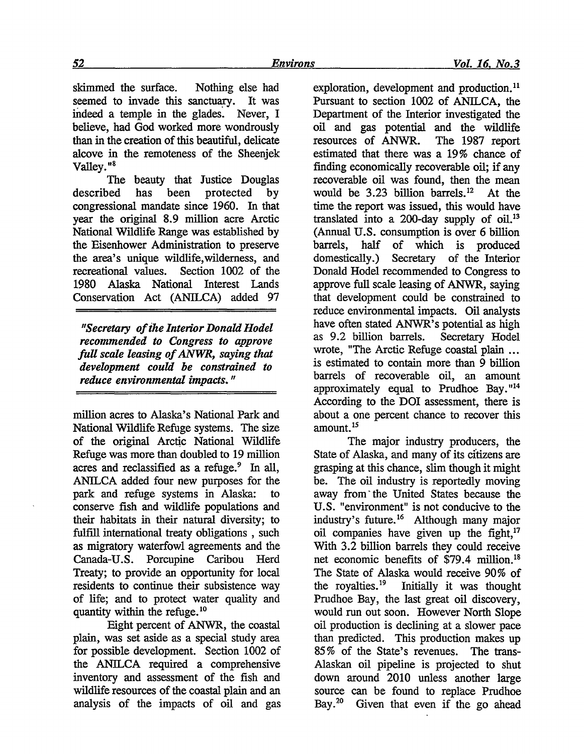skimmed the surface. Nothing else had seemed to invade this sanctuary. It was indeed a temple in the glades. Never, I believe, had God worked more wondrously than in the creation of this beautiful, delicate alcove in the remoteness of the Sheenjek Valley."8

The beauty that Justice Douglas described has been protected by congressional mandate since 1960. In that year the original 8.9 million acre Arctic National Wildlife Range was established by the Eisenhower Administration to preserve the area's unique wildlife,wilderness, and recreational values. Section 1002 of the 1980 Alaska National Interest Lands Conservation Act (ANILCA) added 97

*"Secretary of the Interior Donald Hodel recommended to Congress to approve full scale leasing of ANWR, saying that development could be constrained to reduce environmental impacts."*

million acres to Alaska's National Park and National Wildlife Refuge systems. The size of the original Arctic National Wildlife Refuge was more than doubled to 19 million acres and reclassified as a refuge.<sup>9</sup> In all, ANILCA added four new purposes for the park and refuge systems in Alaska: to conserve fish and wildlife populations and their habitats in their natural diversity; to fulfill international treaty obligations , such as migratory waterfowl agreements and the Canada-U.S. Porcupine Caribou Herd Treaty; to provide an opportunity for local residents to continue their subsistence way of life; and to protect water quality and quantity within the refuge. $^{10}$ 

Eight percent of ANWR, the coastal plain, was set aside as a special study area for possible development. Section 1002 of the ANILCA required a comprehensive inventory and assessment of the fish and wildlife resources of the coastal plain and an analysis of the impacts of oil and gas exploration, development and production.<sup>11</sup> Pursuant to section 1002 of ANILCA, the Department of the Interior investigated the oil and gas potential and the wildlife resources of ANWR. The 1987 report estimated that there was a 19% chance of finding economically recoverable oil; if any recoverable oil was found, then the mean would be 3.23 billion barrels.'2 At the time the report was issued, this would have translated into a 200-day supply of  $\text{oil.}^{13}$ (Annual U.S. consumption is over 6 billion barrels, half of which is produced domestically.) Secretary of the Interior Donald Hodel recommended to Congress to approve full scale leasing of ANWR, saying that development could be constrained to reduce environmental impacts. Oil analysts have often stated ANWR's potential as high as 9.2 billion barrels. Secretary Hodel wrote, "The Arctic Refuge coastal plain **...** is estimated to contain more than 9 billion barrels of recoverable oil, an amount approximately equal to Prudhoe Bay. $114$ According to the DOI assessment, there is about a one percent chance to recover this  $amount.<sup>13</sup>$ 

The major industry producers, the State of Alaska, and many of its citizens are grasping at this chance, slim though it might be. The oil industry is reportedly moving away from" the United States because the U.S. "environment" is not conducive to the industry's future.<sup>16</sup> Although many major oil companies have given up the fight, $17$ With 3.2 billion barrels they could receive net economic benefits of \$79.4 million.'8 The State of Alaska would receive 90% of the royalties.19 Initially it was thought Prudhoe Bay, the last great oil discovery, would run out soon. However North Slope oil production is declining at a slower pace than predicted. This production makes up 85% of the State's revenues. The trans-Alaskan oil pipeline is projected to shut down around 2010 unless another large source can be found to replace Prudhoe Bay.<sup>20</sup> Given that even if the go ahead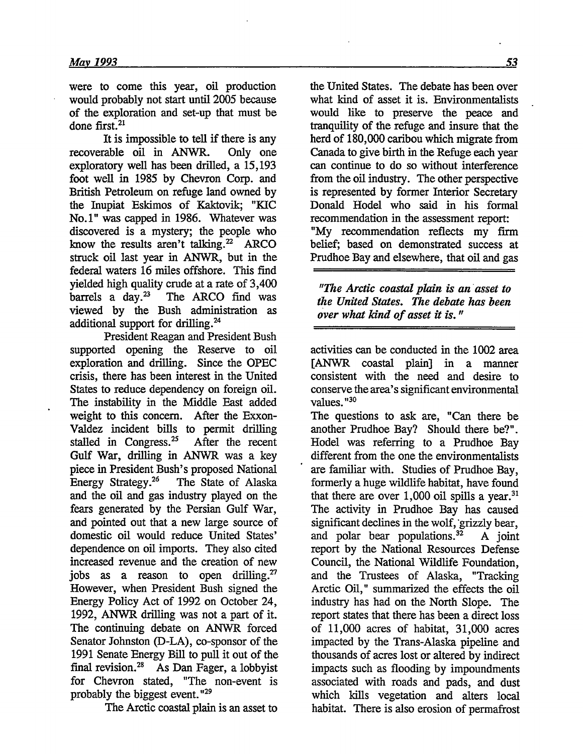were to come this year, oil production would probably not start until 2005 because of the exploration and set-up that must be done first.<sup>21</sup>

It is impossible to tell if there is any recoverable oil in ANWR. Only one exploratory well has been drilled, a 15,193 foot well in 1985 by Chevron Corp. and British Petroleum on refuge land owned by the Inupiat Eskimos of Kaktovik; "KIC No.1" was capped in 1986. Whatever was discovered is a mystery; the people who know the results aren't talking. $22$  ARCO struck oil last year in ANWR, but in the federal waters 16 miles offshore. This find yielded high quality crude at a rate of  $3,400$ <br>barrels a day.<sup>23</sup> The ARCO find was The ARCO find was viewed **by** the Bush administration as additional support for drilling.24

President Reagan and President Bush supported opening the Reserve to oil exploration and drilling. Since the OPEC crisis, there has been interest in the United States to reduce dependency on foreign oil. The instability in the Middle East added weight to this concern. After the Exxon-Valdez incident bills to permit drilling stalled in Congress.<sup>25</sup> After the recent Gulf War, drilling in ANWR was a key piece in President Bush's proposed National<br>Energy Strategy.<sup>26</sup> The State of Alaska The State of Alaska and the oil and gas industry played on the fears generated by the Persian Gulf War, and pointed out that a new large source of domestic oil would reduce United States' dependence on oil imports. They also cited increased revenue and the creation of new jobs as a reason to open drilling.<sup>27</sup> However, when President Bush signed the Energy Policy Act of 1992 on October 24, 1992, ANWR drilling was not a part of it. The continuing debate on ANWR forced Senator Johnston (D-LA), co-sponsor of the 1991 Senate Energy Bill to pull it out of the final revision.<sup>28</sup> As Dan Fager, a lobbyist for Chevron stated, "The non-event is probably the biggest event. **"29**

The Arctic coastal plain is an asset to

the United States. The debate has been over what kind of asset it is. Environmentalists would like to preserve the peace and tranquility of the refuge and insure that the herd of 180,000 caribou which migrate from Canada to give birth in the Refuge each year can continue to do so without interference from the oil industry. The other perspective is represented by former Interior Secretary Donald Hodel who said in his formal recommendation in the assessment report: "My recommendation reflects my firm belief; based on demonstrated success at Prudhoe Bay and elsewhere, that oil and gas

*"The Arctic coastal plain is an asset to the United States. The debate has been over what kind of asset it is."*

activities can be conducted in the 1002 area [ANWR coastal plain] in a manner consistent with the need and desire to conserve the area's significant environmental values. **"30**

The questions to ask are, "Can there be another Prudhoe Bay? Should there be?". Hodel was referring to a Prudhoe Bay different from the one the environmentalists are familiar with. Studies of Prudhoe Bay, formerly a huge wildlife habitat, have found that there are over  $1,000$  oil spills a year.<sup>31</sup> The activity in Prudhoe Bay has caused significant declines in the wolf, grizzly bear, and polar bear populations.<sup>32</sup> A joint report by the National Resources Defense Council, the National Wildlife Foundation, and the Trustees of Alaska, "Tracking Arctic Oil," summarized the effects the oil industry has had on the North Slope. The report states that there has been a direct loss of 11,000 acres of habitat, 31,000 acres impacted by the Trans-Alaska pipeline and thousands of acres lost or altered by indirect impacts such as flooding by impoundments associated with roads and pads, and dust which kills vegetation and alters local habitat. There is also erosion of permafrost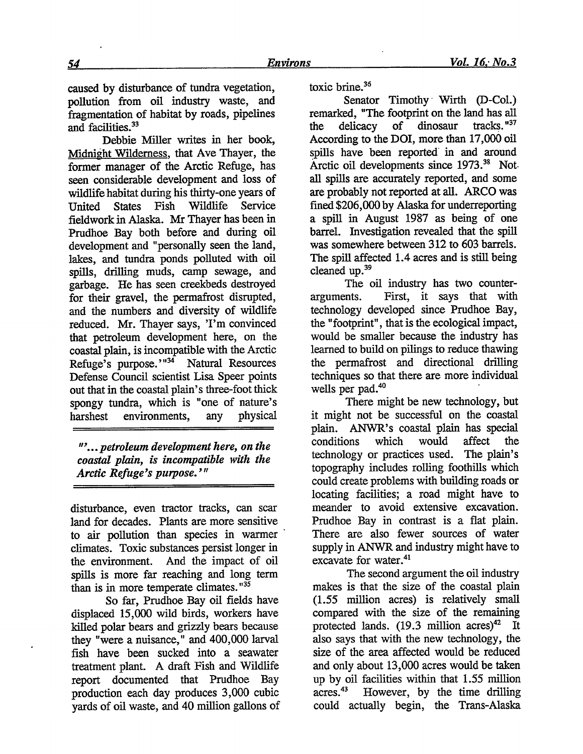caused by disturbance of tundra vegetation, pollution from oil industry waste, and fragmentation of habitat by roads, pipelines and facilities.<sup>33</sup>

Debbie Miller writes in her book, Midnight Wilderness, that Ave Thayer, the former manager of the Arctic Refuge, has seen considerable development and loss of wildlife habitat during his thirty-one years of<br>
United States Fish Wildlife Service United States Fish Wildlife Service fieldwork in Alaska. Mr Thayer has been in Prudhoe Bay both before and during oil development and "personally seen the land, lakes, and tundra ponds polluted with oil spills, drilling muds, camp sewage, and garbage. He has seen creekbeds destroyed for their gravel, the permafrost disrupted, and the numbers and diversity of wildlife reduced. Mr. Thayer says, 'I'm convinced that petroleum development here, on the coastal plain, is incompatible with the Arctic Refuge's purpose."<sup>34</sup> Natural Resources Defense Council scientist Lisa Speer points out that in the coastal plain's three-foot thick spongy tundra, which is "one of nature's harshest environments, any physical

*"'... petroleum development here, on the coastal plain, is incompatible with the Arctic Refuge's purpose. "'*

disturbance, even tractor tracks, can scar land for decades. Plants are more sensitive to air pollution than species in warmer climates. Toxic substances persist longer in the environment. And the impact of oil spills is more far reaching and long term than is in more temperate climates. **"**

So far, Prudhoe Bay oil fields have displaced 15,000 wild birds, workers have killed polar bears and grizzly bears because they "were a nuisance," and 400,000 larval fish have been sucked into a seawater treatment plant. A draft Fish and Wildlife report documented that Prudhoe Bay production each day produces 3,000 cubic yards of oil waste, and 40 million gallons of toxic brine. $36$ 

Senator Timothy Wirth (D-Col.) remarked, "The footprint on the land has all<br>the delicacy of dinosaur tracks."<sup>37</sup> the delicacy of dinosaur According to the DOI, more than 17,000 oil spills have been reported in and around Arctic oil developments since **1973.38** Not. all spills are accurately reported, and some are probably not reported at all. ARCO was fined \$206,000 by Alaska for underreporting a spill in August 1987 as being of one barrel. Investigation revealed that the spill was somewhere between 312 to 603 barrels. The spill affected 1.4 acres and is still being cleaned up.<sup>39</sup>

The oil industry has two counterarguments. First, it says that with technology developed since Prudhoe Bay, the "footprint", that is the ecological impact, would be smaller because the industry has learned to build on pilings to reduce thawing the permafrost and directional drilling techniques so that there are more individual wells per pad.<sup>40</sup>

There might be new technology, but it might not be successful on the coastal plain. ANWR's coastal plain has special conditions which would affect the technology or practices used. The plain's topography includes rolling foothills which could create problems with building roads or locating facilities; a road might have to meander to avoid extensive excavation. Prudhoe Bay in contrast is a flat plain. There are also fewer sources of water supply in ANWR and industry might have to excavate for water.<sup>41</sup>

The second argument the oil industry makes is that the size of the coastal plain **(1.55** million acres) is relatively small compared with the size of the remaining protected lands.  $(19.3 \text{ million acres})^{42}$  It also says that with the new technology, the size of the area affected would be reduced and only about 13,000 acres would be taken up by oil facilities within that **1.55** million acres. 43 However, by the time drilling could actually begin, the Trans-Alaska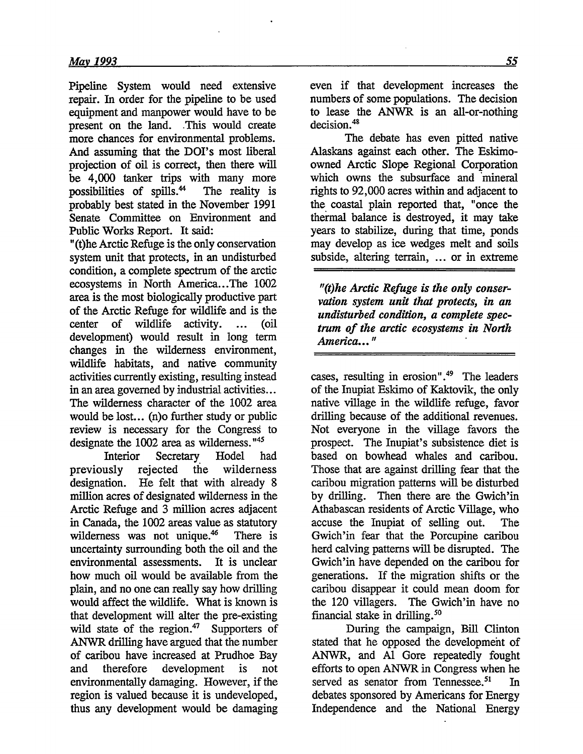Pipeline System would need extensive repair. In order for the pipeline to be used equipment and manpower would have to be present on the land. This would create more chances for environmental problems. And assuming that the DOI's most liberal projection of oil is correct, then there will be 4,000 tanker trips with many more<br>possibilities of spills.<sup>44</sup> The reality is possibilities of spills.<sup>44</sup> probably best stated in the November 1991 Senate Committee on Environment and Public Works Report. It said:

"(t)he Arctic Refuge is the only conservation system unit that protects, in an undisturbed condition, a complete spectrum of the arctic ecosystems in North America... The 1002 area is the most biologically productive part of the Arctic Refuge for wildlife and is the center of wildlife activity. ... (oil development) would result in long term changes in the wilderness environment, wildlife habitats, and native community activities currently existing, resulting instead in an area governed by industrial activities... The wilderness character of the 1002 area would be lost... (n)o further study or public review is necessary for the Congress to designate the 1002 area as wilderness. **"45**

Interior Secretary. Hodel had previously rejected the wilderness designation. He felt that with already 8 million acres of designated wilderness in the Arctic Refuge and 3 million acres adjacent in Canada, the 1002 areas value as statutory wilderness was not unique. $46$  There is uncertainty surrounding both the oil and the environmental assessments. It is unclear how much oil would be available from the plain, and no one can really say how drilling would affect the wildlife. What is known is that development will alter the pre-existing wild state of the region. $47$  Supporters of ANWR drilling have argued that the number of caribou have increased at Prudhoe Bay and therefore development is not environmentally damaging. However, if the region is valued because it is undeveloped, thus any development would be damaging

even if that development increases the numbers of some populations. The decision to lease the ANWR is an all-or-nothing decision.<sup>48</sup>

The debate has even pitted native Alaskans against each other. The Eskimoowned Arctic Slope Regional Corporation which owns the subsurface and mineral rights to 92,000 acres within and adjacent to the coastal plain reported that, "once the thermal balance is destroyed, it may take years to stabilize, during that time, ponds may develop as ice wedges melt and soils subside, altering terrain, ... or in extreme

*"(t)he Arctic Refuge is the only conservation system unit that protects, in an undisturbed condition, a complete spectrum of the arctic ecosystems in* **North** *America..."*

cases, resulting in erosion".<sup>49</sup> The leaders of the Inupiat Eskimo of Kaktovik, the only native village in the wildlife refuge, favor drilling because of the additional revenues. Not everyone in the village favors the prospect. The Inupiat's subsistence diet is based on bowhead whales and caribou. Those that are against drilling fear that the caribou migration patterns will be disturbed by drilling. Then there are the Gwich'in Athabascan residents of Arctic Village, who accuse the Inupiat of selling out. The Gwich'in fear that the Porcupine caribou herd calving patterns will be disrupted. The Gwich'in have depended on the caribou for generations. If the migration shifts or the caribou disappear it could mean doom for the 120 villagers. The Gwich'in have no financial stake in drilling.<sup>50</sup>

During the campaign, Bill Clinton stated that he opposed the developmeht of ANWR, and **Al** Gore repeatedly fought efforts to open ANWR in Congress when he served as senator from Tennessee.<sup>51</sup> In debates sponsored by Americans for Energy Independence and the National Energy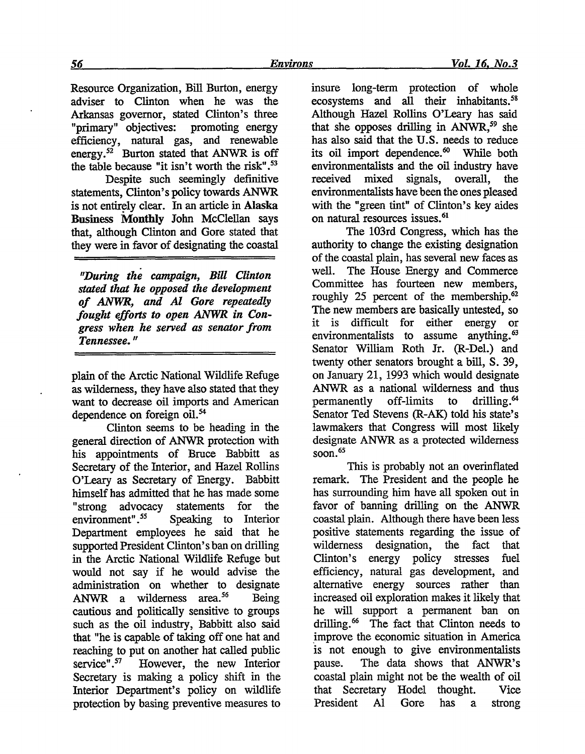Resource Organization, Bill Burton, energy adviser to Clinton when he was the Arkansas governor, stated Clinton's three "primary" objectives: promoting energy efficiency, natural gas, and renewable energy.<sup>52</sup> Burton stated that ANWR is off the table because "it isn't worth the risk" **.**

Despite such seemingly definitive statements, Clinton's policy towards ANWR is not entirely clear. In an article in **Alaska Business** Monthly John McClellan says that, although Clinton and Gore stated that they were in favor of designating the coastal

*"During the campaign, Bill Clinton stated that he opposed the development of ANWR, and Al Gore repeatedly fought efforts to open ANWR in Congress when he served as senator from Tennessee."*

plain of the Arctic National Wildlife Refuge as wilderness, they have also stated that they want to decrease oil imports and American dependence on foreign oil.<sup>54</sup>

Clinton seems to be heading in the general direction of ANWR protection with his appointments of Bruce Babbitt as Secretary of the Interior, and Hazel Rollins O'Leary as Secretary of Energy. Babbitt himself has admitted that he has made some "strong advocacy statements for the environment".<sup>55</sup> Speaking to Interior Department employees he said that he supported President Clinton's ban on drilling in the Arctic National Wildlife Refuge but would not say if he would advise the administration on whether to designate ANWR a wilderness area.<sup>56</sup> Being cautious and politically sensitive to groups such as the oil industry, Babbitt also said that "he is capable of taking off one hat and reaching to put on another hat called public service". $57$  However, the new Interior Secretary is making a policy shift in the Interior Department's policy on wildlife protection by basing preventive measures to insure long-term protection of whole ecosystems and all their inhabitants.<sup>58</sup> Although Hazel Rollins O'Leary has said that she opposes drilling in ANWR,<sup>59</sup> she has also said that the **U.S.** needs to reduce its oil import dependence.<sup>60</sup> While both environmentalists and the oil industry have received mixed signals, overall, the environmentalists have been the ones pleased with the "green tint" of Clinton's key aides on natural resources issues.<sup>61</sup>

The 103rd Congress, which has the authority to change the existing designation of the coastal plain, has several new faces as well. The House Energy and Commerce Committee has fourteen new members, roughly **25** percent of the membership.62 The new members are basically untested, so it is difficult for either energy or environmentalists to assume anything.<sup>63</sup> Senator William Roth Jr. (R-Del.) and twenty other senators brought a bill, S. 39, on January 21, 1993 which would designate ANWR as a national wilderness and thus permanently off-limits to drilling.' Senator Ted Stevens (R-AK) told his state's lawmakers that Congress will most likely designate ANWR as a protected wilderness soon. 65

This is probably not an overinflated remark. The President and the people he has surrounding him have all spoken out in favor of banning drilling on the ANWR coastal plain. Although there have been less positive statements regarding the issue of wilderness designation, the fact that Clinton's energy policy stresses fuel efficiency, natural gas development, and alternative energy sources rather than increased oil exploration makes it likely that he will support a permanent ban on drilling.<sup>66</sup> The fact that Clinton needs to improve the economic situation in America is not enough to give environmentalists pause. The data shows that ANWR's coastal plain might not be the wealth of oil that Secretary Hodel thought. Vice President **Al** Gore has a strong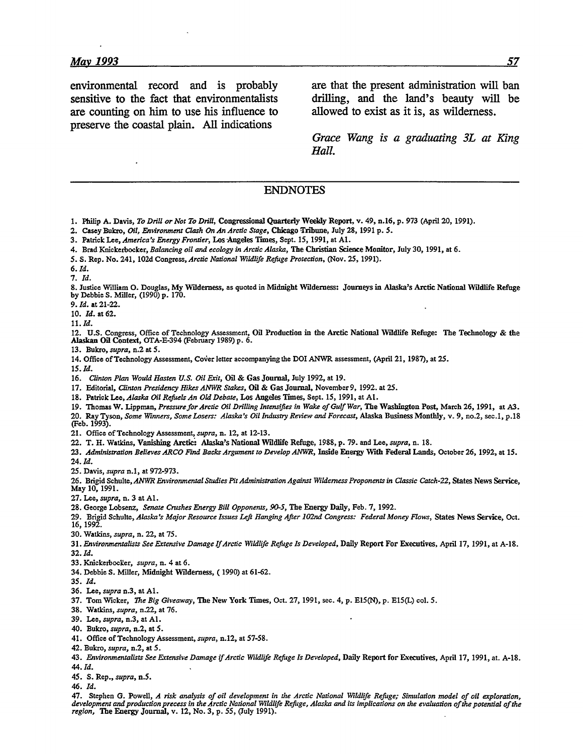are counting on him to use his influence to allowed to exist as it is, as wilderness. preserve the coastal plain. **All** indications

environmental record and is probably are that the present administration will ban sensitive to the fact that environmentalists drilling, and the land's beauty will be

> *Grace Wang is a graduating 3L at King Hall.*

## **ENDNOTES**

- **1.** Philip **A.** Davis, *To Drill or Nor To Drill,* Congressional Quarterly Weekly Report, v. 49, n.16, **p. 973** (April 20, **1991).**
- 2. Casey Bukro, *Oil, Environment Clash On An Arctic Stage,* Chicago Tribune, July **28, 1991 p. <sup>5</sup> .**
- **3.** Patrick Lee, *America's Energy Frontier,* Los Angeles Times, Sept. *15,* 1991, at **Al.**
- 4. Brad Knickerbocker, *Balancing oil and ecology in Arctic Alaska,* The Christian Science Monitor, July 30, 1991, at 6.
- *5. S.* Rep. No. 241, 102d Congress, *Arctic National Wildlife Refuge Protection,* (Nov. 25, 1991).
- *6. Id.*

**7.** *Id.*

**8.** Justice William **0.** Douglas, **My** Wilderness, as quoted in Midnight Wilderness: Journeys in Alaska's Arctic National Wildlife Refuge **by** Debbie **S.** Miller, **(1990) p. 170.**

*9. Id.* at 21-22.

**10.** *Id.* at **62.**

**11.** *Id.*

12. **U.S.** Congress, Office of Technology Assessment, Oil Production in the Arctic National Wildlife Refuge: The Technology **&** the Alaskan Oil Context, OTA-E-394 (February **1989) p. 6.**

**13.** Bukro, *supra,* n.2 at *5.*

14. Office of Technology Assessment, Cover letter accompanying the DOI ANWR assessment, (April 21, **1987),** at 25.

*15. Id.*

16. *Clinton Plan Would Hasten U.S. Oil Exit,* Oil **&** Gas Journal, July 1992, at 19.

17. Editorial, *Clinton Presidency Hikes ANWR Stakes,* Oil & Gas Journal, November 9, 1992. at 25.

**18.** Patrick *Lee,A/aska Oil Refuels An Old Debate,* Los Angeles Times, Sept. *15,* 1991, at **Al.**

19. Thomas W. Lippman, *Pressure for Arctic Oil Drilling Intensifies in Wake of Gulf War,* The Washington Post, March **26,** 1991, at *A3.* 20. Ray Tyson, *Some Wmners, Some Losers: Alaska's Oil Industry Review and Forecast,* Alaska Business Monthly, v. 9, no.2, sec.1, p.18 (Feb. 1993).

- 21. Office of Technology Assessment, *supra,* n. 12, at 12-13.
- 22. T. H. Watkins, Vanishing Arctic: Alaska's National Wildlife Refuge, 1988, **p.** 79. and Lee, *supra,* n. **18.**
- *23. Administration Believes ARCO Find Backs Argument to Develop ANWR,* Inside Energy With Federal Lands, October **26,** 1992, at 15. 24. *Id.*
- 25. Davis, *supra* n.1, at 972-973.

**26.** Brigid Schulte, *ANWR Environmental Studies Pit Administration Against Wilderness Proponents in Classic Catch-22,* States News Service, May 10, 1991.

**27.** Lee, *supra,* n. 3 at **Al.**

- **28.** George Lobsenz, *Senate Crushes Energy Bill Opponents, 90-5,* The Energy Daily, Feb. 7, 1992.
- **29.** Brigid Schulte, *Alaska's Major Resource Issues Left Hanging After 102nd Congress: Federal Money Flows,* States News Service, Oct. 16, 1992.
- 30. Watkins, *supra,* n. 22, at 75.
- 31. *Environmentalists See Extensive Damage If Arctic Wildlife Refuge Is Developed,* Daily Report For Executives, April 17, 1991, at A-18.

**32.** *Id.*

- **33.** Knickerbocker, *supra,* n. 4 at **6.**
- 34. Debbie **S.** Miller, Midnight Wilderness, (1990) at 61-62.
- **35.** *Id.*
- **36.** Lee, *supra* n.3, at **Al.**
- **37.** TomWicker, *The Big Giveaway,* The New York Tnes, Oct. **27, 1991,** see. 4, **p. E15(N), p. E15(L)** col. **5.**
- **38.** Watkins, *supra,* n.22, at **76.**
- **39.** Lee, *supra,* n.3, at **Al.**
- 40. Bukro, *supra,* n.2, at **5.**
- 41. Office **of** Technology Assessment, *supra,* n.12, at **57-58.**
- 42. Bukro, *supra,* n.2, at **5.**

43. *Environmentalists See Extensive Damage if Arctic Wildlife Refuge Is Developed,* Daily Report for Executives, April **17,** 1991, at. **A-18.** 44. **Id.**

45. **S.** Rep., *supra,* n.5.

46. **Id.**

47. Stephen **G.** Powell, *A risk analysis of oil development in the Arctic National Wildlfe Refuge; Simulation model of oil exploration, development and production precess in the Arctic National Wildlife Refuge, Alaska and its implications on the evaluation of the potential of the region,* The Energy Journal, v. 12, No. 3, **p.** 55, (July 1991).